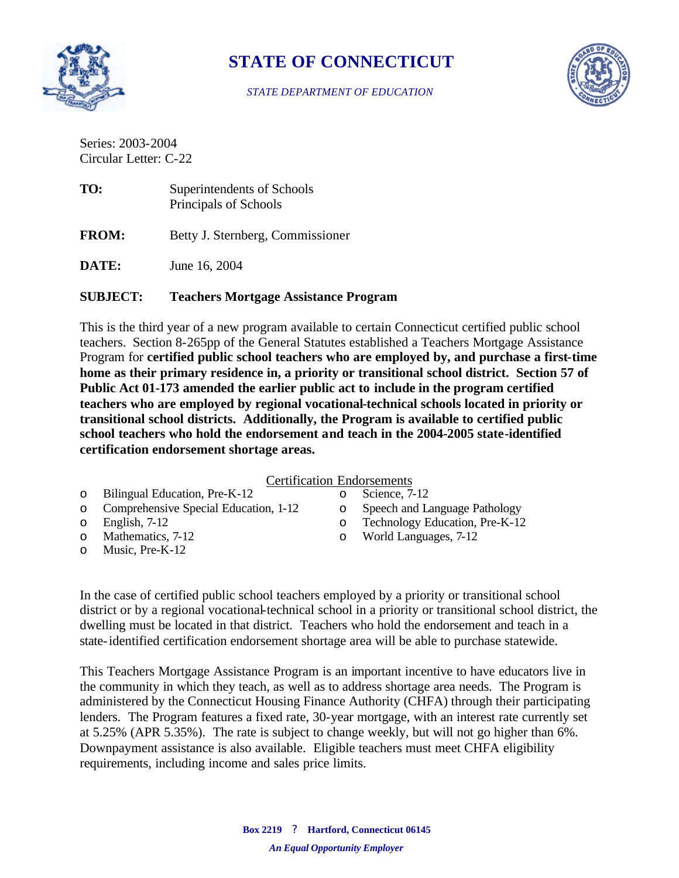

# **STATE OF CONNECTICUT**

#### *STATE DEPARTMENT OF EDUCATION*



Series: 2003-2004 Circular Letter: C-22

| TO: | Superintendents of Schools |
|-----|----------------------------|
|     | Principals of Schools      |
|     |                            |

- **FROM:** Betty J. Sternberg, Commissioner
- **DATE:** June 16, 2004

#### **SUBJECT: Teachers Mortgage Assistance Program**

This is the third year of a new program available to certain Connecticut certified public school teachers. Section 8-265pp of the General Statutes established a Teachers Mortgage Assistance Program for **certified public school teachers who are employed by, and purchase a first-time home as their primary residence in, a priority or transitional school district. Section 57 of Public Act 01-173 amended the earlier public act to include in the program certified teachers who are employed by regional vocational-technical schools located in priority or transitional school districts. Additionally, the Program is available to certified public school teachers who hold the endorsement and teach in the 2004-2005 state-identified certification endorsement shortage areas.** 

| o Bilingual Education, Pre-K-12         | $\circ$ Science, 7-12            |
|-----------------------------------------|----------------------------------|
| o Comprehensive Special Education, 1-12 | o Speech and Language Pathology  |
| $\circ$ English, 7-12                   | o Technology Education, Pre-K-12 |
| o Mathematics, 7-12                     | o World Languages, 7-12          |
|                                         |                                  |

Music, Pre-K-12

In the case of certified public school teachers employed by a priority or transitional school district or by a regional vocational-technical school in a priority or transitional school district, the dwelling must be located in that district. Teachers who hold the endorsement and teach in a state-identified certification endorsement shortage area will be able to purchase statewide.

This Teachers Mortgage Assistance Program is an important incentive to have educators live in the community in which they teach, as well as to address shortage area needs. The Program is administered by the Connecticut Housing Finance Authority (CHFA) through their participating lenders. The Program features a fixed rate, 30-year mortgage, with an interest rate currently set at 5.25% (APR 5.35%). The rate is subject to change weekly, but will not go higher than 6%. Downpayment assistance is also available. Eligible teachers must meet CHFA eligibility requirements, including income and sales price limits.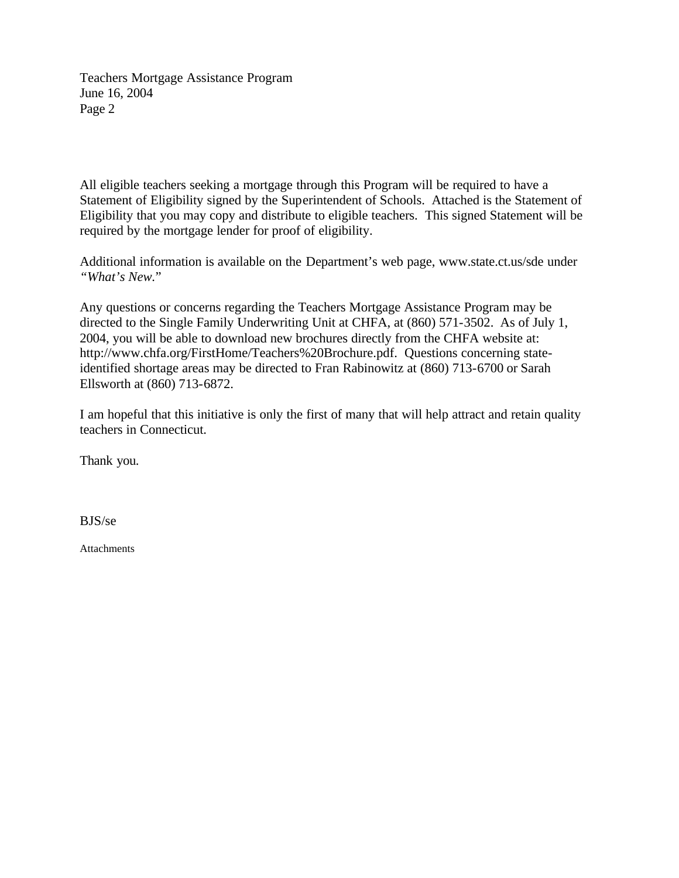Teachers Mortgage Assistance Program June 16, 2004 Page 2

All eligible teachers seeking a mortgage through this Program will be required to have a Statement of Eligibility signed by the Superintendent of Schools. Attached is the Statement of Eligibility that you may copy and distribute to eligible teachers. This signed Statement will be required by the mortgage lender for proof of eligibility.

Additional information is available on the Department's web page, www.state.ct.us/sde under *"What's New.*"

Any questions or concerns regarding the Teachers Mortgage Assistance Program may be directed to the Single Family Underwriting Unit at CHFA, at (860) 571-3502. As of July 1, 2004, you will be able to download new brochures directly from the CHFA website at: http://www.chfa.org/FirstHome/Teachers%20Brochure.pdf. Questions concerning stateidentified shortage areas may be directed to Fran Rabinowitz at (860) 713-6700 or Sarah Ellsworth at (860) 713-6872.

I am hopeful that this initiative is only the first of many that will help attract and retain quality teachers in Connecticut.

Thank you.

BJS/se

Attachments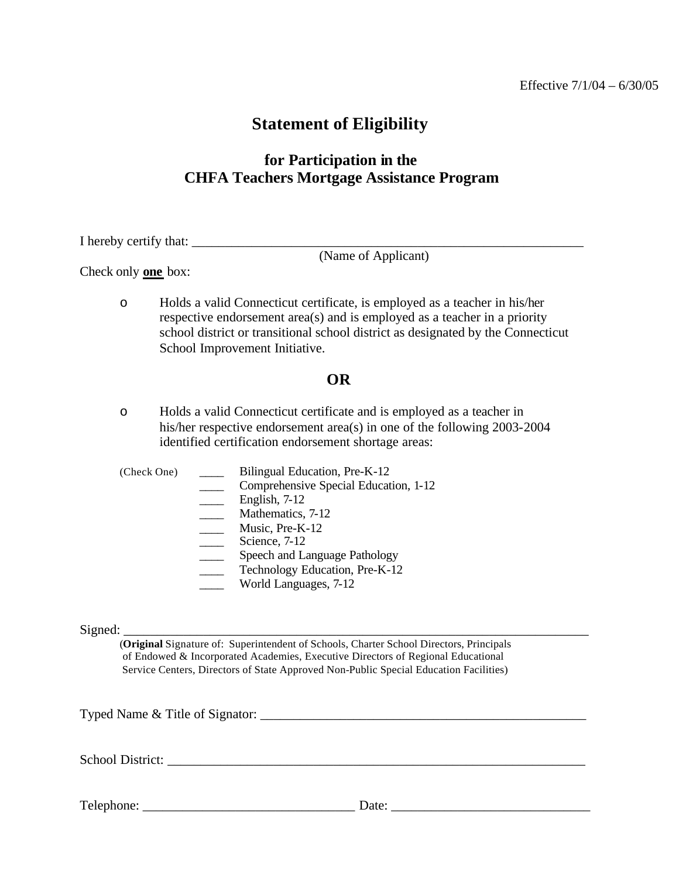## **Statement of Eligibility**

## **for Participation in the CHFA Teachers Mortgage Assistance Program**

I hereby certify that: \_\_\_\_\_\_\_\_\_\_\_\_\_\_\_\_\_\_\_\_\_\_\_\_\_\_\_\_\_\_\_\_\_\_\_\_\_\_\_\_\_\_\_\_\_\_\_\_\_\_\_\_\_\_\_\_\_\_\_

(Name of Applicant)

Check only **one** box:

o Holds a valid Connecticut certificate, is employed as a teacher in his/her respective endorsement area(s) and is employed as a teacher in a priority school district or transitional school district as designated by the Connecticut School Improvement Initiative.

## **OR**

o Holds a valid Connecticut certificate and is employed as a teacher in his/her respective endorsement area(s) in one of the following 2003-2004 identified certification endorsement shortage areas:

(Check One) \_\_\_\_ Bilingual Education, Pre-K-12 \_\_\_\_ Comprehensive Special Education, 1-12  $\qquad \qquad$  English, 7-12 **Mathematics**, 7-12 \_\_\_\_\_\_ Music, Pre-K-12 \_\_\_\_ Science, 7-12 Speech and Language Pathology Technology Education, Pre-K-12 \_\_\_\_ World Languages, 7-12

Signed: \_\_\_\_\_\_\_\_\_\_\_\_\_\_\_\_\_\_\_\_\_\_\_\_\_\_\_\_\_\_\_\_\_\_\_\_\_\_\_\_\_\_\_\_\_\_\_\_\_\_\_\_\_\_\_\_\_\_\_\_\_\_\_\_\_\_\_\_\_\_

(**Original** Signature of: Superintendent of Schools, Charter School Directors, Principals of Endowed & Incorporated Academies, Executive Directors of Regional Educational Service Centers, Directors of State Approved Non-Public Special Education Facilities)

Typed Name  $\&$  Title of Signator:

School District:

Telephone:  $\Box$